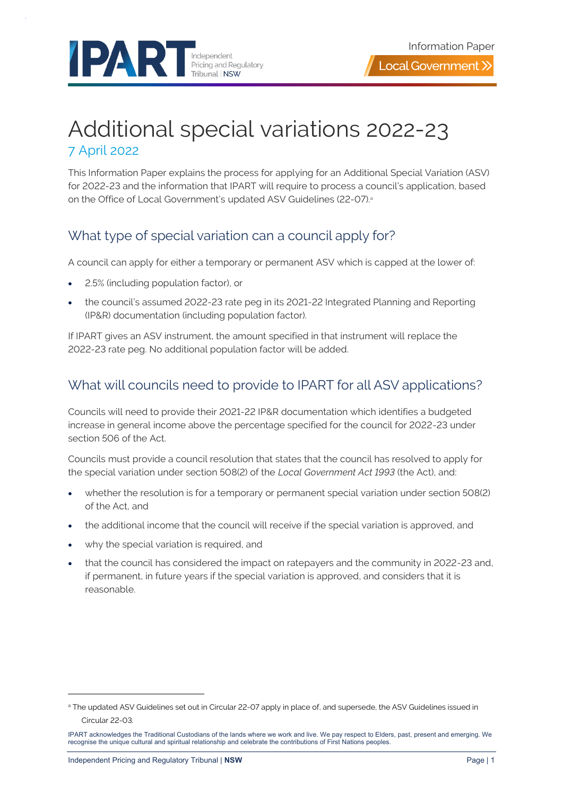

# Additional special variations 2022-23 7 April 2022

This Information Paper explains the process for applying for an Additional Special Variation (ASV) for 2022-23 and the information that IPART will require to process a council's application, based on the Office of Local Government's updated ASV Guidelines (22-07).<sup>a</sup>

### What type of special variation can a council apply for?

A council can apply for either a temporary or permanent ASV which is capped at the lower of:

- 2.5% (including population factor), or
- the council's assumed 2022-23 rate peg in its 2021-22 Integrated Planning and Reporting (IP&R) documentation (including population factor).

If IPART gives an ASV instrument, the amount specified in that instrument will replace the 2022-23 rate peg. No additional population factor will be added.

## What will councils need to provide to IPART for all ASV applications?

Councils will need to provide their 2021-22 IP&R documentation which identifies a budgeted increase in general income above the percentage specified for the council for 2022-23 under section 506 of the Act.

Councils must provide a council resolution that states that the council has resolved to apply for the special variation under section 508(2) of the *Local Government Act 1993* (the Act), and:

- whether the resolution is for a temporary or permanent special variation under section 508(2) of the Act, and
- the additional income that the council will receive if the special variation is approved, and
- why the special variation is required, and
- that the council has considered the impact on ratepayers and the community in 2022-23 and, if permanent, in future years if the special variation is approved, and considers that it is reasonable.

a The updated ASV Guidelines set out in Circular 22-07 apply in place of, and supersede, the ASV Guidelines issued in Circular 22-03.

IPART acknowledges the Traditional Custodians of the lands where we work and live. We pay respect to Elders, past, present and emerging. We recognise the unique cultural and spiritual relationship and celebrate the contributions of First Nations peoples.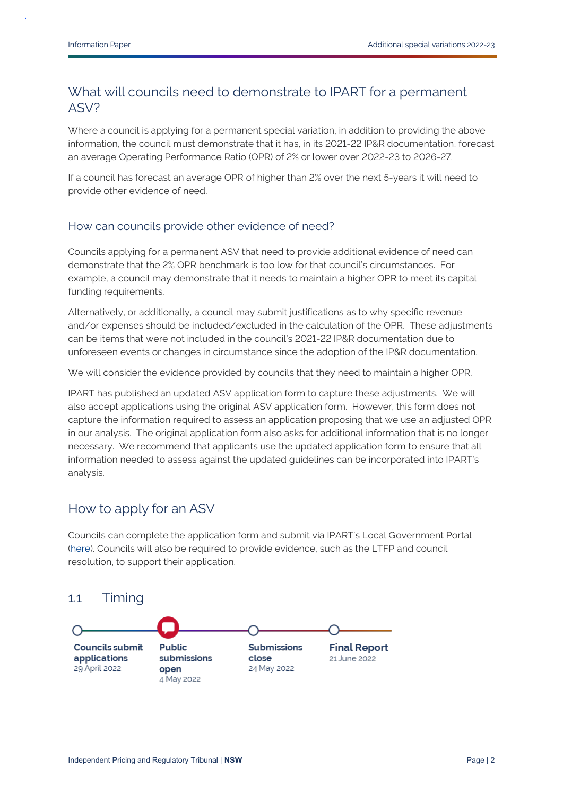### What will councils need to demonstrate to IPART for a permanent ASV?

Where a council is applying for a permanent special variation, in addition to providing the above information, the council must demonstrate that it has, in its 2021-22 IP&R documentation, forecast an average Operating Performance Ratio (OPR) of 2% or lower over 2022-23 to 2026-27.

If a council has forecast an average OPR of higher than 2% over the next 5-years it will need to provide other evidence of need.

#### How can councils provide other evidence of need?

Councils applying for a permanent ASV that need to provide additional evidence of need can demonstrate that the 2% OPR benchmark is too low for that council's circumstances. For example, a council may demonstrate that it needs to maintain a higher OPR to meet its capital funding requirements.

Alternatively, or additionally, a council may submit justifications as to why specific revenue and/or expenses should be included/excluded in the calculation of the OPR. These adjustments can be items that were not included in the council's 2021-22 IP&R documentation due to unforeseen events or changes in circumstance since the adoption of the IP&R documentation.

We will consider the evidence provided by councils that they need to maintain a higher OPR.

IPART has published an updated ASV application form to capture these adjustments. We will also accept applications using the original ASV application form. However, this form does not capture the information required to assess an application proposing that we use an adjusted OPR in our analysis. The original application form also asks for additional information that is no longer necessary. We recommend that applicants use the updated application form to ensure that all information needed to assess against the updated guidelines can be incorporated into IPART's analysis.

### How to apply for an ASV

Councils can complete the application form and submit via IPART's Local Government Portal [\(here\)](https://councilportal.ipart.nsw.gov.au/Login). Councils will also be required to provide evidence, such as the LTFP and council resolution, to support their application.

#### 1.1 Timing